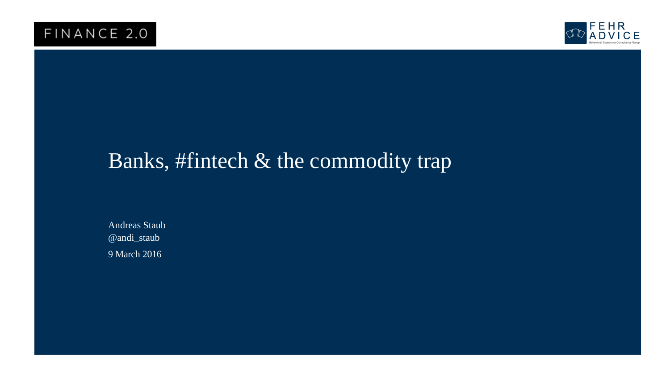

# Banks, #fintech & the commodity trap

9 March 2016 Andreas Staub @andi\_staub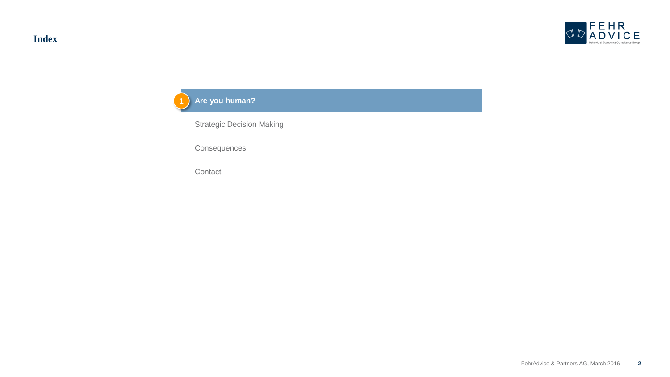



**Consequences** 

**Contact**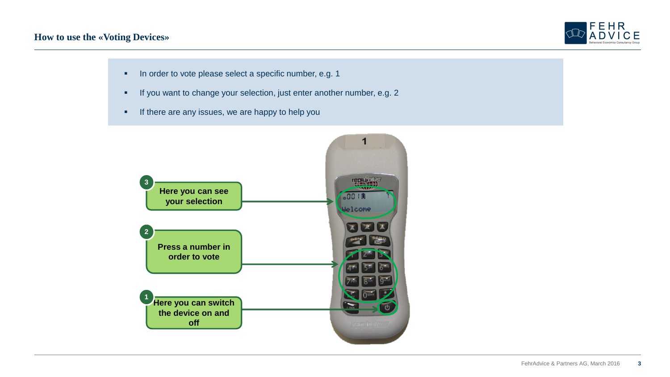

- **In order to vote please select a specific number, e.g. 1**
- **If you want to change your selection, just enter another number, e.g. 2**
- **If there are any issues, we are happy to help you**

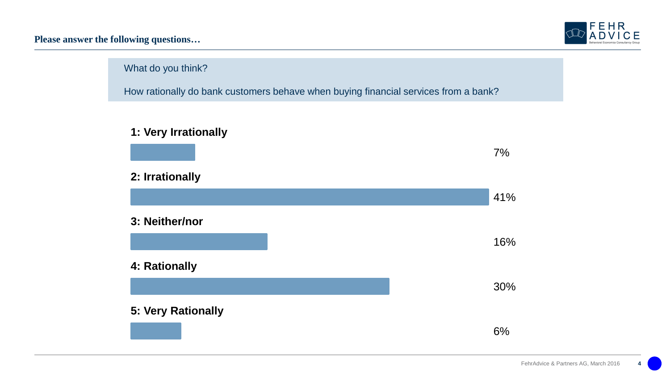**Please answer the following questions…**



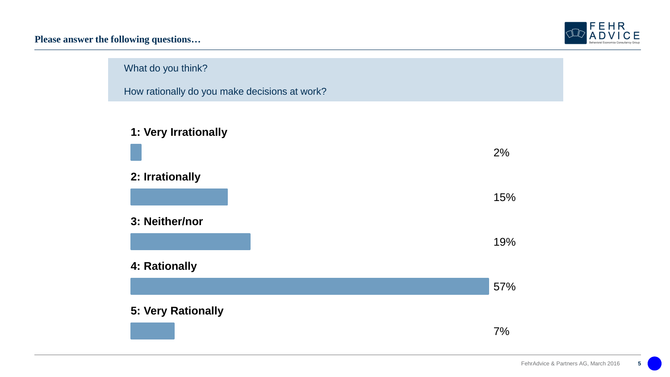**Please answer the following questions…**





How rationally do you make decisions at work?



# **2: Irrationally**

**3: Neither/nor**



2%

15%

# **4: Rationally**

**5: Very Rationally**

7%

57%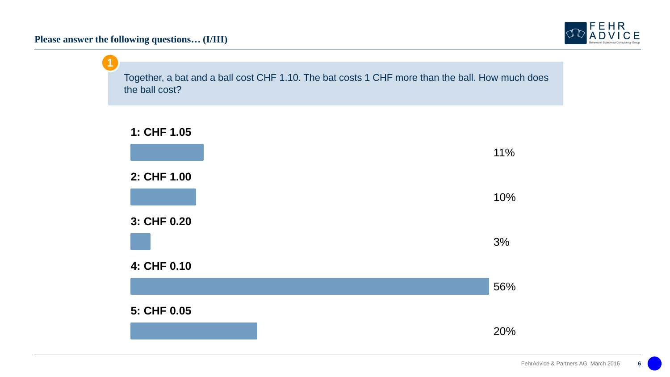**Please answer the following questions… (I/III)**



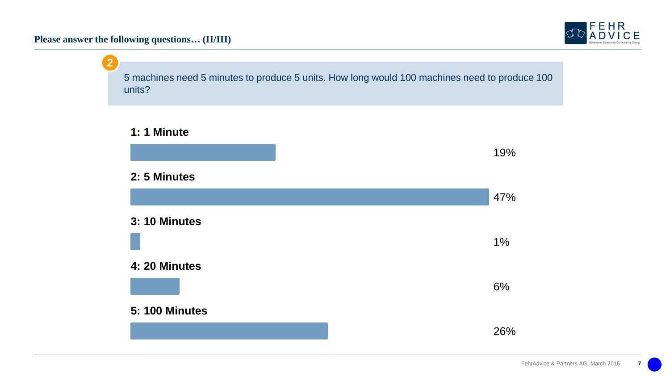**Please answer the following questions… (II/III)**

![](_page_6_Picture_1.jpeg)

![](_page_6_Figure_2.jpeg)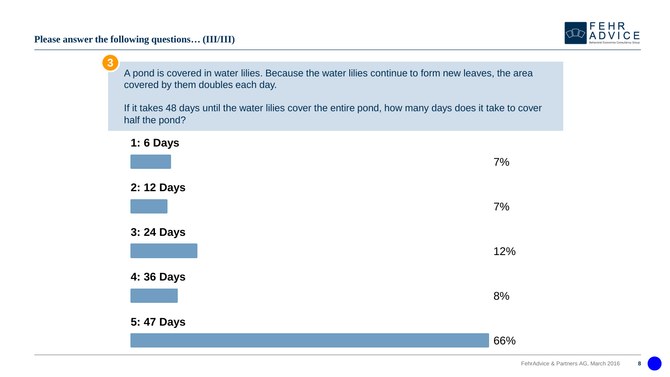![](_page_7_Picture_1.jpeg)

![](_page_7_Figure_2.jpeg)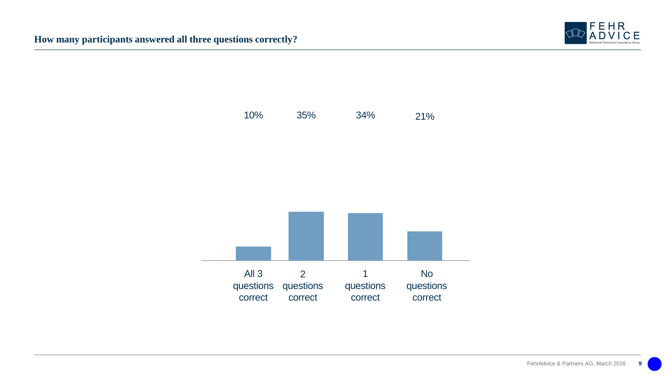![](_page_8_Picture_1.jpeg)

![](_page_8_Figure_2.jpeg)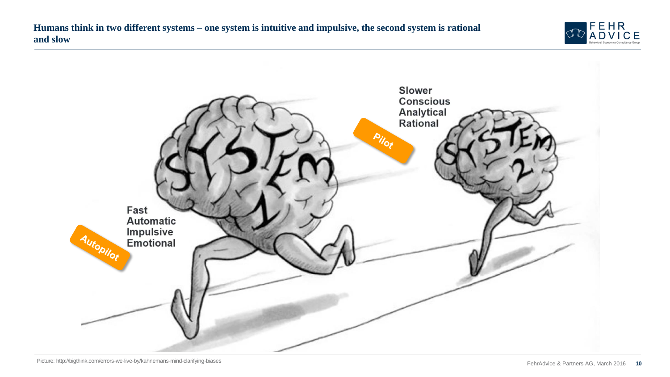![](_page_9_Picture_1.jpeg)

![](_page_9_Picture_2.jpeg)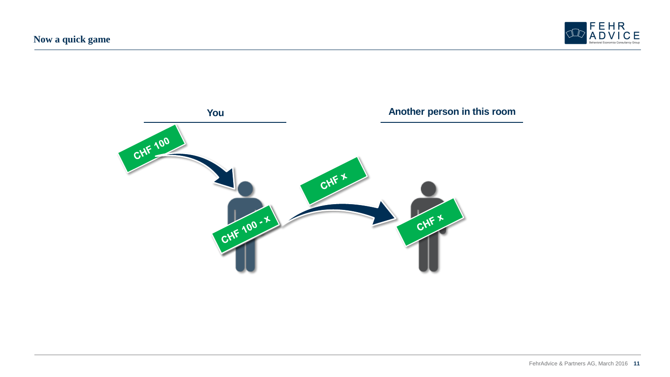![](_page_10_Picture_1.jpeg)

![](_page_10_Figure_2.jpeg)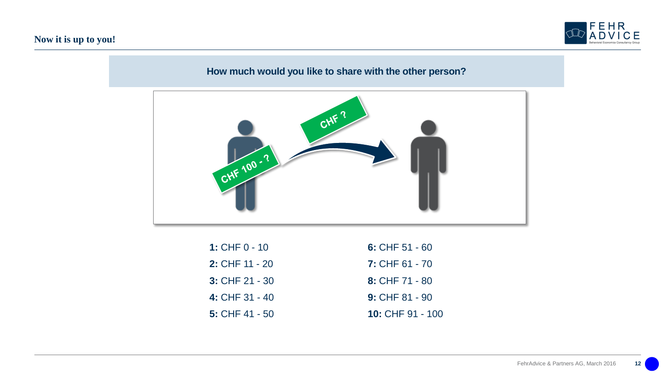### **Now it is up to you!**

![](_page_11_Picture_1.jpeg)

# **How much would you like to share with the other person?**

![](_page_11_Figure_3.jpeg)

| 1: CHF $0 - 10$  | 6: CHF $51 - 60$        |
|------------------|-------------------------|
| 2: CHF $11 - 20$ | $7:$ CHF 61 - 70        |
| $3:$ CHF 21 - 30 | 8: CHF $71 - 80$        |
| 4: CHF $31 - 40$ | $9:$ CHF 81 - 90        |
| 5: CHF $41 - 50$ | <b>10: CHF 91 - 100</b> |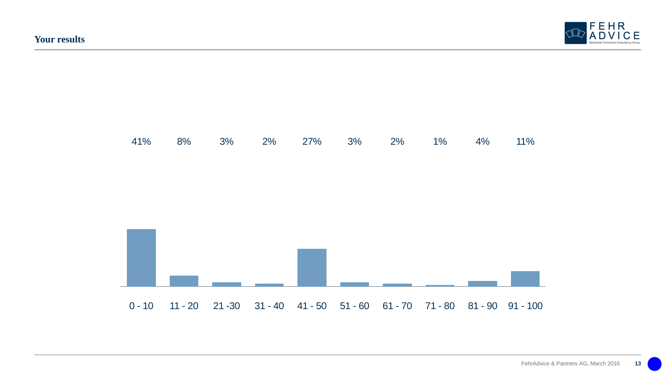![](_page_12_Picture_1.jpeg)

![](_page_12_Figure_2.jpeg)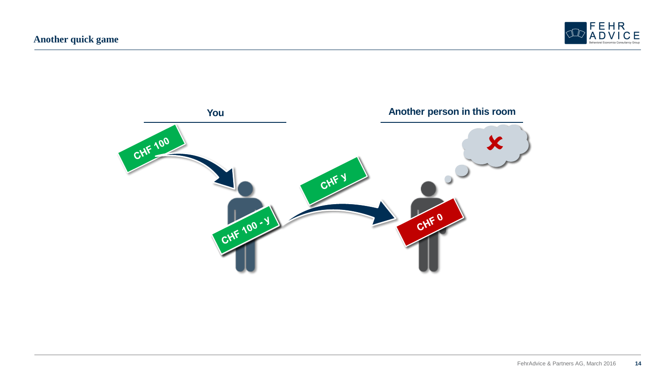![](_page_13_Picture_1.jpeg)

![](_page_13_Figure_2.jpeg)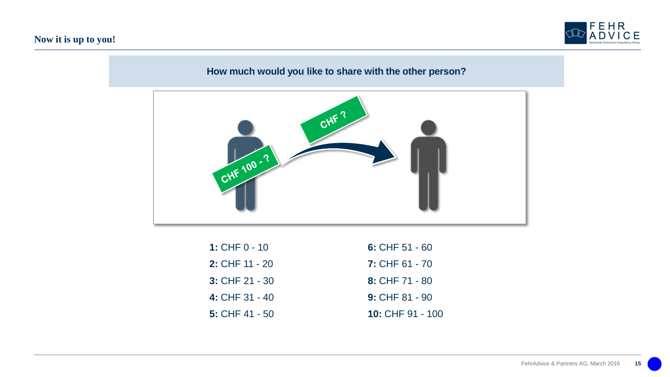### **Now it is up to you!**

![](_page_14_Picture_1.jpeg)

# **How much would you like to share with the other person?**

![](_page_14_Figure_3.jpeg)

| 1: CHF $0 - 10$  | 6: CHF $51 - 60$        |
|------------------|-------------------------|
| 2: CHF $11 - 20$ | $7:$ CHF 61 - 70        |
| $3:$ CHF 21 - 30 | 8: CHF $71 - 80$        |
| 4: CHF $31 - 40$ | $9:$ CHF 81 - 90        |
| 5: CHF $41 - 50$ | <b>10: CHF 91 - 100</b> |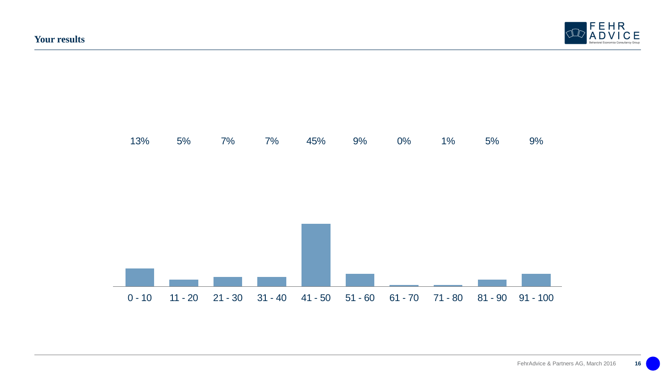![](_page_15_Picture_1.jpeg)

![](_page_15_Figure_2.jpeg)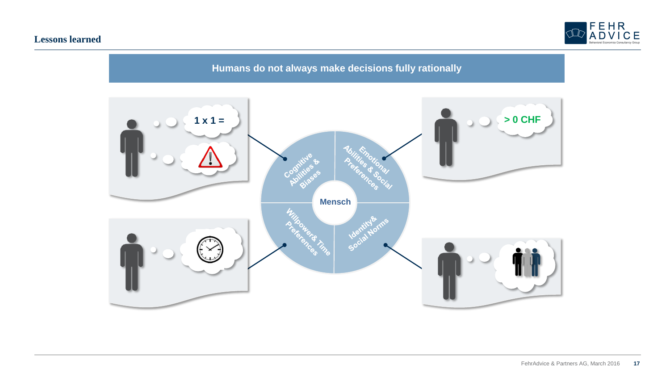### **Lessons learned**

![](_page_16_Picture_1.jpeg)

**Humans do not always make decisions fully rationally**

![](_page_16_Figure_3.jpeg)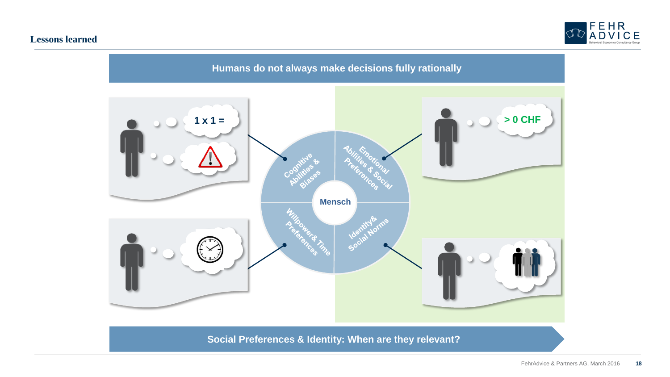#### **Lessons learned**

![](_page_17_Picture_1.jpeg)

![](_page_17_Figure_2.jpeg)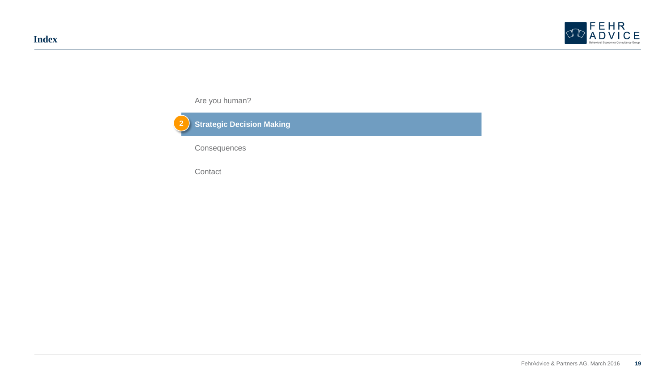![](_page_18_Picture_1.jpeg)

Are you human?

![](_page_18_Picture_3.jpeg)

**Consequences** 

Contact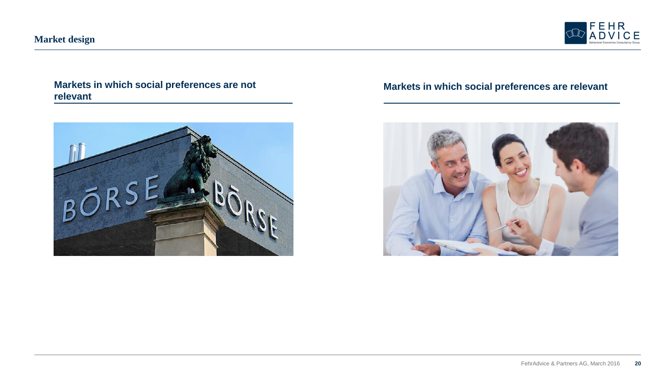![](_page_19_Picture_1.jpeg)

# **Markets in which social preferences are not relevant**

![](_page_19_Picture_3.jpeg)

### **Markets in which social preferences are relevant**

![](_page_19_Picture_5.jpeg)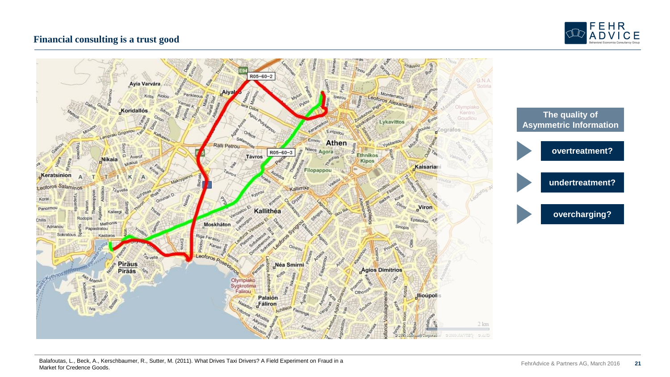![](_page_20_Picture_0.jpeg)

#### **Financial consulting is a trust good**

![](_page_20_Figure_2.jpeg)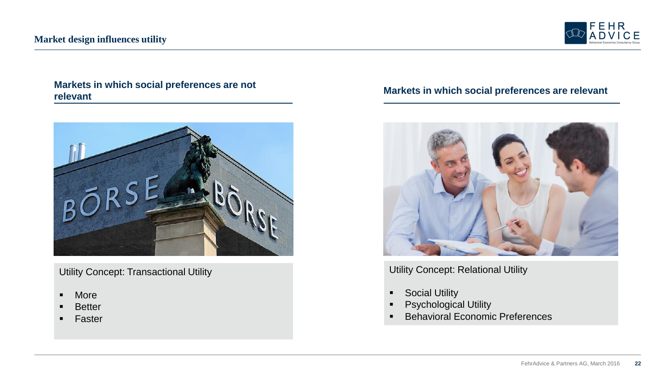![](_page_21_Picture_1.jpeg)

# **Markets in which social preferences are relevant Markets in which social preferences are not relevant**

![](_page_21_Picture_3.jpeg)

Utility Concept: Transactional Utility

- More
- **Better**
- **Faster**

![](_page_21_Picture_9.jpeg)

# Utility Concept: Relational Utility

- **-** Social Utility
- **•** Psychological Utility
- **Behavioral Economic Preferences**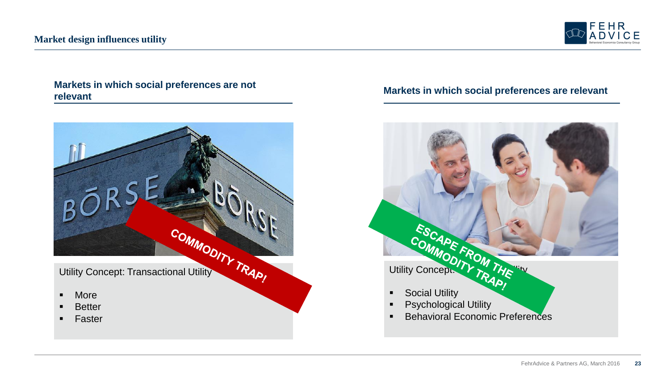![](_page_22_Picture_1.jpeg)

# **Markets in which social preferences are relevant Markets in which social preferences are not relevant**

![](_page_22_Picture_3.jpeg)

- **Better**
- **Faster**

![](_page_22_Picture_7.jpeg)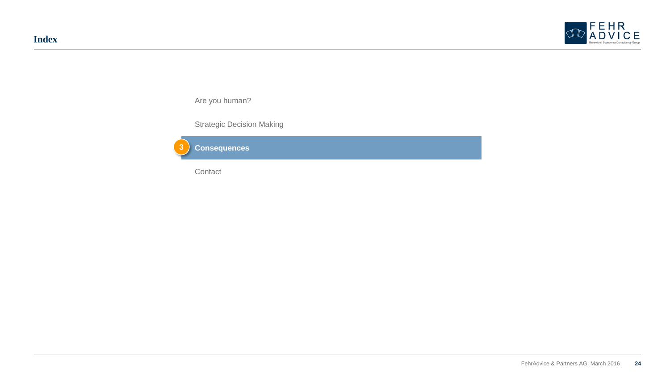![](_page_23_Picture_1.jpeg)

Are you human?

Strategic Decision Making

![](_page_23_Picture_4.jpeg)

Contact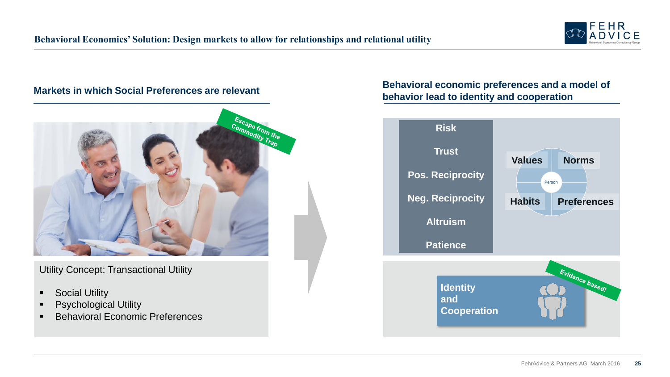![](_page_24_Picture_1.jpeg)

#### **Markets in which Social Preferences are relevant**

![](_page_24_Picture_3.jpeg)

Utility Concept: Transactional Utility

- **Social Utility**
- **•** Psychological Utility
- **Behavioral Economic Preferences**

#### **Behavioral economic preferences and a model of behavior lead to identity and cooperation**

![](_page_24_Figure_9.jpeg)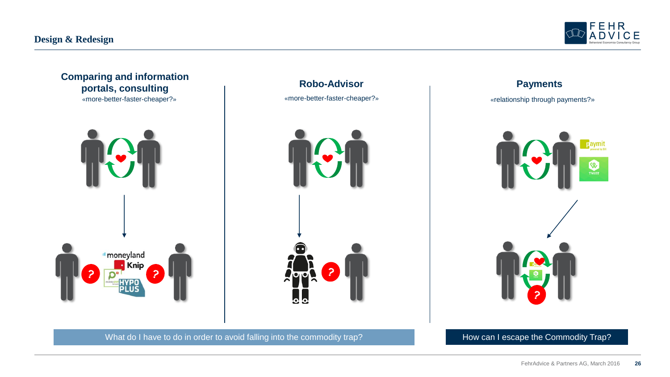![](_page_25_Picture_1.jpeg)

**E** aymit

 $\infty$ **TWINT** 

![](_page_25_Picture_2.jpeg)

What do I have to do in order to avoid falling into the commodity trap? How can I escape the Commodity Trap?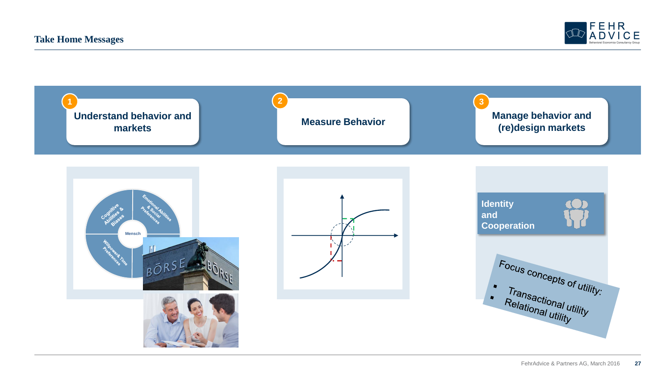![](_page_26_Picture_1.jpeg)

![](_page_26_Figure_2.jpeg)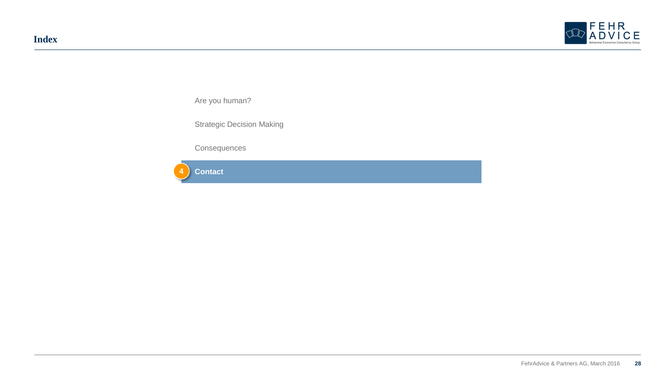![](_page_27_Picture_1.jpeg)

Are you human?

Strategic Decision Making

**Consequences** 

![](_page_27_Picture_5.jpeg)